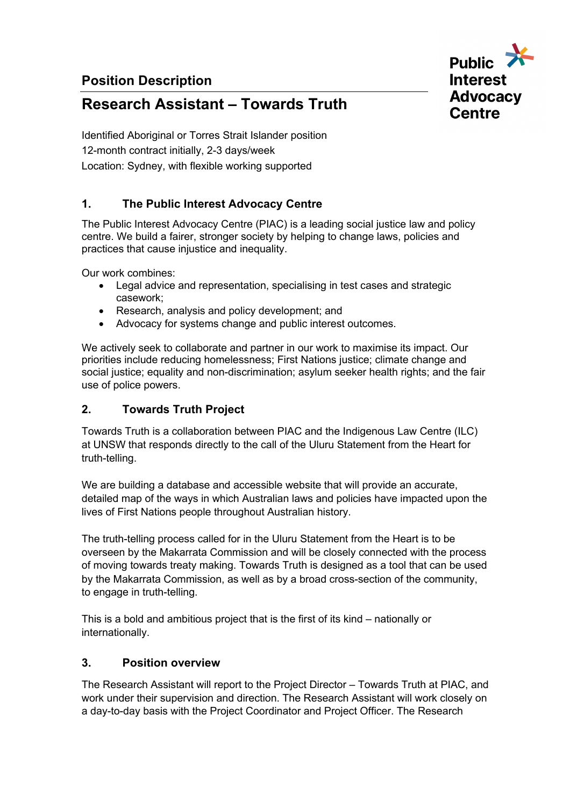**Position Description**



# **Research Assistant – Towards Truth**

Identified Aboriginal or Torres Strait Islander position 12-month contract initially, 2-3 days/week Location: Sydney, with flexible working supported

# **1. The Public Interest Advocacy Centre**

The Public Interest Advocacy Centre (PIAC) is a leading social justice law and policy centre. We build a fairer, stronger society by helping to change laws, policies and practices that cause injustice and inequality.

Our work combines:

- Legal advice and representation, specialising in test cases and strategic casework;
- Research, analysis and policy development; and
- Advocacy for systems change and public interest outcomes.

We actively seek to collaborate and partner in our work to maximise its impact. Our priorities include reducing homelessness; First Nations justice; climate change and social justice; equality and non-discrimination; asylum seeker health rights; and the fair use of police powers. 

# **2. Towards Truth Project**

Towards Truth is a collaboration between PIAC and the Indigenous Law Centre (ILC) at UNSW that responds directly to the call of the Uluru Statement from the Heart for truth-telling.

We are building a database and accessible website that will provide an accurate, detailed map of the ways in which Australian laws and policies have impacted upon the lives of First Nations people throughout Australian history.

The truth-telling process called for in the Uluru Statement from the Heart is to be overseen by the Makarrata Commission and will be closely connected with the process of moving towards treaty making. Towards Truth is designed as a tool that can be used by the Makarrata Commission, as well as by a broad cross-section of the community, to engage in truth-telling.

This is a bold and ambitious project that is the first of its kind – nationally or internationally.

#### **3. Position overview**

The Research Assistant will report to the Project Director – Towards Truth at PIAC, and work under their supervision and direction. The Research Assistant will work closely on a day-to-day basis with the Project Coordinator and Project Officer. The Research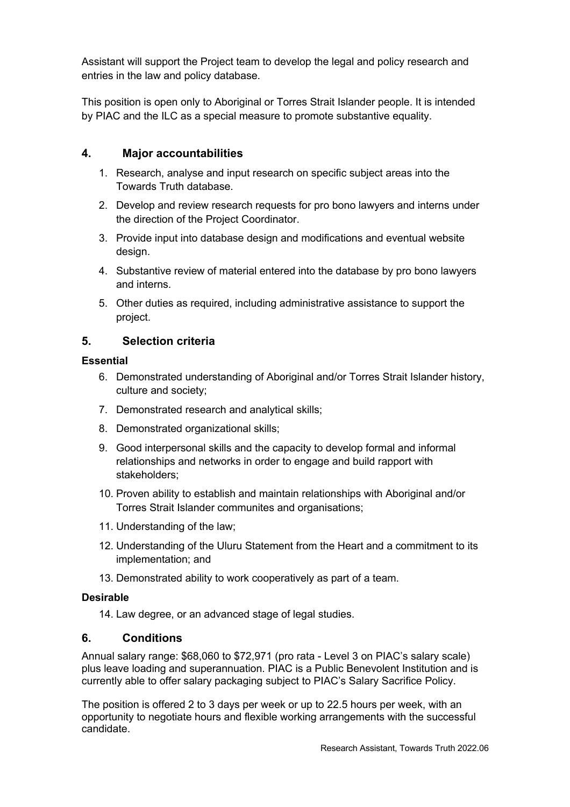Assistant will support the Project team to develop the legal and policy research and entries in the law and policy database.

This position is open only to Aboriginal or Torres Strait Islander people. It is intended by PIAC and the ILC as a special measure to promote substantive equality.

## **4. Major accountabilities**

- 1. Research, analyse and input research on specific subject areas into the Towards Truth database.
- 2. Develop and review research requests for pro bono lawyers and interns under the direction of the Project Coordinator.
- 3. Provide input into database design and modifications and eventual website design.
- 4. Substantive review of material entered into the database by pro bono lawyers and interns.
- 5. Other duties as required, including administrative assistance to support the project.

## **5. Selection criteria**

#### **Essential**

- 6. Demonstrated understanding of Aboriginal and/or Torres Strait Islander history, culture and society;
- 7. Demonstrated research and analytical skills;
- 8. Demonstrated organizational skills;
- 9. Good interpersonal skills and the capacity to develop formal and informal relationships and networks in order to engage and build rapport with stakeholders;
- 10. Proven ability to establish and maintain relationships with Aboriginal and/or Torres Strait Islander communites and organisations;
- 11. Understanding of the law;
- 12. Understanding of the Uluru Statement from the Heart and a commitment to its implementation; and
- 13. Demonstrated ability to work cooperatively as part of a team.

#### **Desirable**

14. Law degree, or an advanced stage of legal studies.

#### **6. Conditions**

Annual salary range: \$68,060 to \$72,971 (pro rata - Level 3 on PIAC's salary scale) plus leave loading and superannuation. PIAC is a Public Benevolent Institution and is currently able to offer salary packaging subject to PIAC's Salary Sacrifice Policy.

The position is offered 2 to 3 days per week or up to 22.5 hours per week, with an opportunity to negotiate hours and flexible working arrangements with the successful candidate.